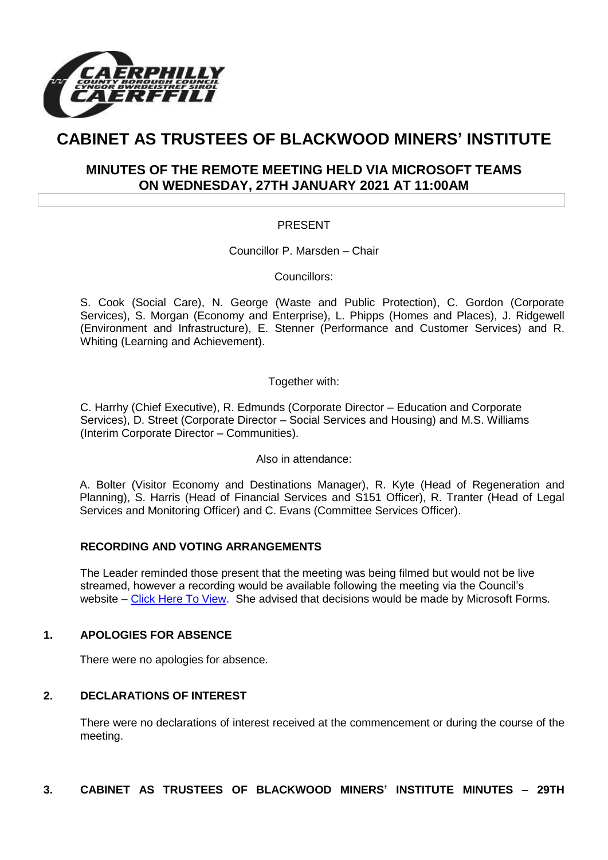

# **CABINET AS TRUSTEES OF BLACKWOOD MINERS' INSTITUTE**

## **MINUTES OF THE REMOTE MEETING HELD VIA MICROSOFT TEAMS ON WEDNESDAY, 27TH JANUARY 2021 AT 11:00AM**

### PRESENT

Councillor P. Marsden – Chair

Councillors:

S. Cook (Social Care), N. George (Waste and Public Protection), C. Gordon (Corporate Services), S. Morgan (Economy and Enterprise), L. Phipps (Homes and Places), J. Ridgewell (Environment and Infrastructure), E. Stenner (Performance and Customer Services) and R. Whiting (Learning and Achievement).

Together with:

C. Harrhy (Chief Executive), R. Edmunds (Corporate Director – Education and Corporate Services), D. Street (Corporate Director – Social Services and Housing) and M.S. Williams (Interim Corporate Director – Communities).

Also in attendance:

A. Bolter (Visitor Economy and Destinations Manager), R. Kyte (Head of Regeneration and Planning), S. Harris (Head of Financial Services and S151 Officer), R. Tranter (Head of Legal Services and Monitoring Officer) and C. Evans (Committee Services Officer).

#### **RECORDING AND VOTING ARRANGEMENTS**

The Leader reminded those present that the meeting was being filmed but would not be live streamed, however a recording would be available following the meeting via the Council's website – [Click Here To View.](https://www.caerphilly.gov.uk/My-Council/Meetings,-agendas,-minutes-and-reports/Council-meetings?lang=en-GB) She advised that decisions would be made by Microsoft Forms.

#### **1. APOLOGIES FOR ABSENCE**

There were no apologies for absence.

#### **2. DECLARATIONS OF INTEREST**

There were no declarations of interest received at the commencement or during the course of the meeting.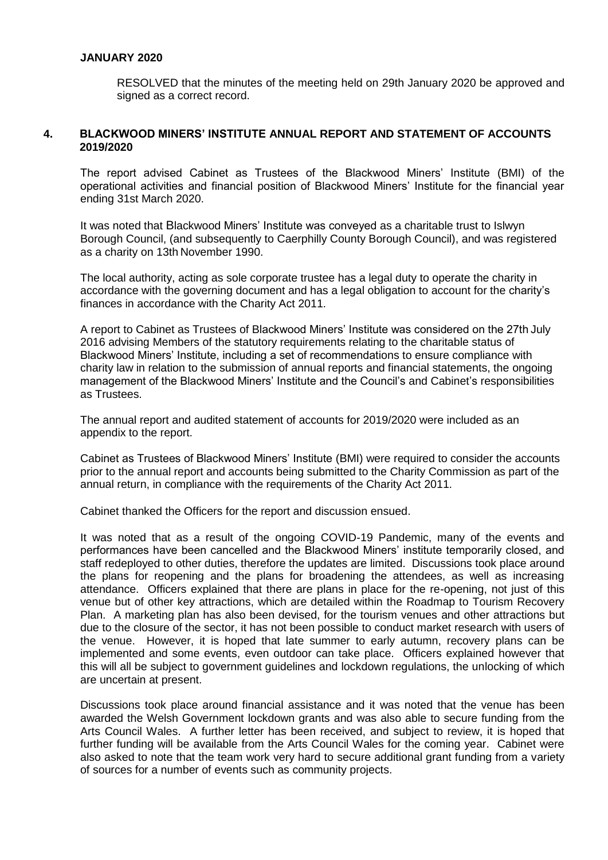#### **JANUARY 2020**

RESOLVED that the minutes of the meeting held on 29th January 2020 be approved and signed as a correct record.

#### **4. BLACKWOOD MINERS' INSTITUTE ANNUAL REPORT AND STATEMENT OF ACCOUNTS 2019/2020**

The report advised Cabinet as Trustees of the Blackwood Miners' Institute (BMI) of the operational activities and financial position of Blackwood Miners' Institute for the financial year ending 31st March 2020.

It was noted that Blackwood Miners' Institute was conveyed as a charitable trust to Islwyn Borough Council, (and subsequently to Caerphilly County Borough Council), and was registered as a charity on 13th November 1990.

The local authority, acting as sole corporate trustee has a legal duty to operate the charity in accordance with the governing document and has a legal obligation to account for the charity's finances in accordance with the Charity Act 2011.

A report to Cabinet as Trustees of Blackwood Miners' Institute was considered on the 27th July 2016 advising Members of the statutory requirements relating to the charitable status of Blackwood Miners' Institute, including a set of recommendations to ensure compliance with charity law in relation to the submission of annual reports and financial statements, the ongoing management of the Blackwood Miners' Institute and the Council's and Cabinet's responsibilities as Trustees.

The annual report and audited statement of accounts for 2019/2020 were included as an appendix to the report.

Cabinet as Trustees of Blackwood Miners' Institute (BMI) were required to consider the accounts prior to the annual report and accounts being submitted to the Charity Commission as part of the annual return, in compliance with the requirements of the Charity Act 2011.

Cabinet thanked the Officers for the report and discussion ensued.

It was noted that as a result of the ongoing COVID-19 Pandemic, many of the events and performances have been cancelled and the Blackwood Miners' institute temporarily closed, and staff redeployed to other duties, therefore the updates are limited. Discussions took place around the plans for reopening and the plans for broadening the attendees, as well as increasing attendance. Officers explained that there are plans in place for the re-opening, not just of this venue but of other key attractions, which are detailed within the Roadmap to Tourism Recovery Plan. A marketing plan has also been devised, for the tourism venues and other attractions but due to the closure of the sector, it has not been possible to conduct market research with users of the venue. However, it is hoped that late summer to early autumn, recovery plans can be implemented and some events, even outdoor can take place. Officers explained however that this will all be subject to government guidelines and lockdown regulations, the unlocking of which are uncertain at present.

Discussions took place around financial assistance and it was noted that the venue has been awarded the Welsh Government lockdown grants and was also able to secure funding from the Arts Council Wales. A further letter has been received, and subject to review, it is hoped that further funding will be available from the Arts Council Wales for the coming year. Cabinet were also asked to note that the team work very hard to secure additional grant funding from a variety of sources for a number of events such as community projects.